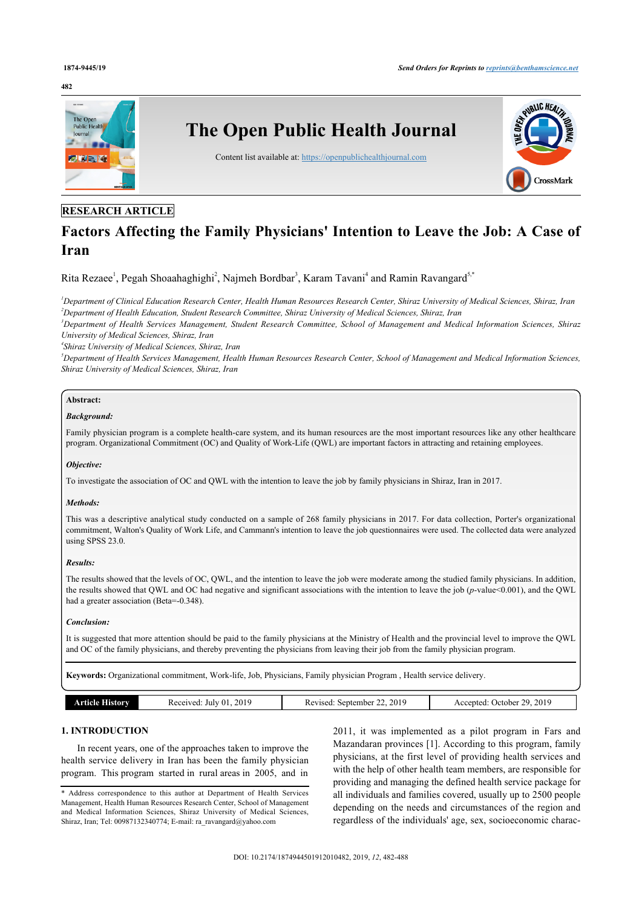#### **482**



# **RESEARCH ARTICLE**

# **Factors Affecting the Family Physicians' Intention to Leave the Job: A Case of Iran**

Rita Rezaee<sup>[1](#page-0-0)</sup>, Pegah Shoaahaghighi<sup>[2](#page-0-1)</sup>, Najmeh Bordbar<sup>[3](#page-0-2)</sup>, Karam Tavani<sup>[4](#page-0-3)</sup> and Ramin Ravangard<sup>[5](#page-0-4),[\\*](#page-0-5)</sup>

<span id="page-0-1"></span><span id="page-0-0"></span>*<sup>1</sup>Department of Clinical Education Research Center, Health Human Resources Research Center, Shiraz University of Medical Sciences, Shiraz, Iran <sup>2</sup>Department of Health Education, Student Research Committee, Shiraz University of Medical Sciences, Shiraz, Iran*

<span id="page-0-2"></span>*<sup>3</sup>Department of Health Services Management, Student Research Committee, School of Management and Medical Information Sciences, Shiraz University of Medical Sciences, Shiraz, Iran*

<span id="page-0-3"></span>*4 Shiraz University of Medical Sciences, Shiraz, Iran*

<span id="page-0-4"></span>*<sup>5</sup>Department of Health Services Management, Health Human Resources Research Center, School of Management and Medical Information Sciences, Shiraz University of Medical Sciences, Shiraz, Iran*

# **Abstract:**

#### *Background:*

Family physician program is a complete health-care system, and its human resources are the most important resources like any other healthcare program. Organizational Commitment (OC) and Quality of Work-Life (QWL) are important factors in attracting and retaining employees.

### *Objective:*

To investigate the association of OC and QWL with the intention to leave the job by family physicians in Shiraz, Iran in 2017.

### *Methods:*

This was a descriptive analytical study conducted on a sample of 268 family physicians in 2017. For data collection, Porter's organizational commitment, Walton's Quality of Work Life, and Cammann's intention to leave the job questionnaires were used. The collected data were analyzed using SPSS 23.0.

### *Results:*

The results showed that the levels of OC, QWL, and the intention to leave the job were moderate among the studied family physicians. In addition, the results showed that QWL and OC had negative and significant associations with the intention to leave the job (*p*-value<0.001), and the QWL had a greater association (Beta=-0.348).

### *Conclusion:*

It is suggested that more attention should be paid to the family physicians at the Ministry of Health and the provincial level to improve the QWL and OC of the family physicians, and thereby preventing the physicians from leaving their job from the family physician program.

**Keywords:** Organizational commitment, Work-life, Job, Physicians, Family physician Program , Health service delivery.

| listory | 201 <sup>c</sup> | 201c       | 2019       |
|---------|------------------|------------|------------|
|         | ecewed           | September. | າດ         |
|         | July 01          | vised      | . )etober. |
|         | .                | nc         | Accepted:  |
|         |                  |            |            |
|         | .                | .          |            |

# **1. INTRODUCTION**

In recent years, one of the approaches taken to improve the health service delivery in Iran has been the family physician program. This program started in rural areas in 2005, and in

2011, it was implemented as a pilot program in Fars and Mazandaran provinces [[1](#page-5-0)]. According to this program, family physicians, at the first level of providing health services and with the help of other health team members, are responsible for providing and managing the defined health service package for all individuals and families covered, usually up to 2500 people depending on the needs and circumstances of the region and regardless of the individuals' age, sex, socioeconomic charac-

<span id="page-0-5"></span><sup>\*</sup> Address correspondence to this author at Department of Health Services Management, Health Human Resources Research Center, School of Management and Medical Information Sciences, Shiraz University of Medical Sciences, Shiraz, Iran; Tel: 00987132340774; E-mail: [ra\\_ravangard@yahoo.com](mailto:ra_ravangard@yahoo.com)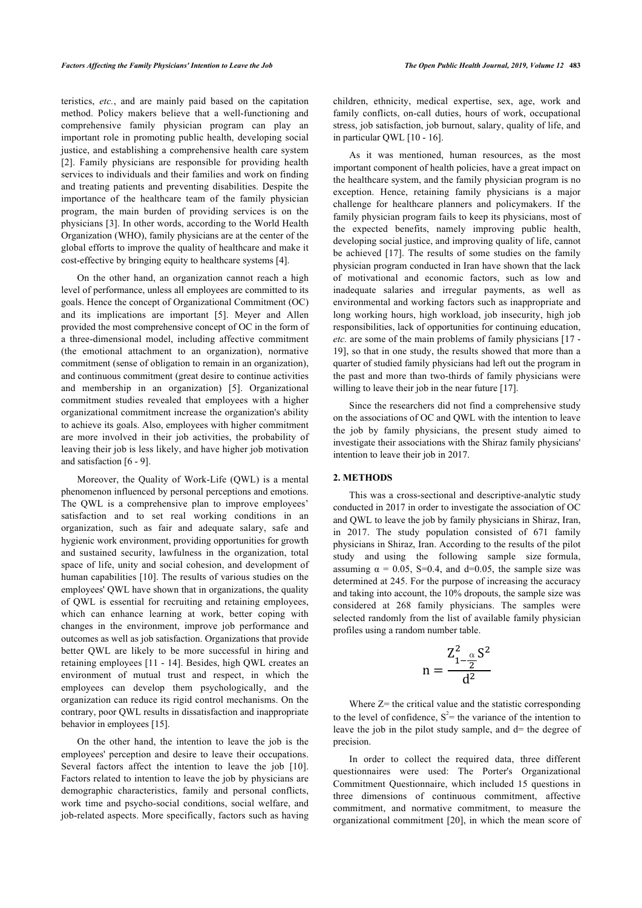teristics, *etc.*, and are mainly paid based on the capitation method. Policy makers believe that a well-functioning and comprehensive family physician program can play an important role in promoting public health, developing social justice, and establishing a comprehensive health care system [[2](#page-5-1)]. Family physicians are responsible for providing health services to individuals and their families and work on finding and treating patients and preventing disabilities. Despite the importance of the healthcare team of the family physician program, the main burden of providing services is on the physicians [\[3\]](#page-5-2). In other words, according to the World Health Organization (WHO), family physicians are at the center of the global efforts to improve the quality of healthcare and make it cost-effective by bringing equity to healthcare systems [[4](#page-5-3)].

On the other hand, an organization cannot reach a high level of performance, unless all employees are committed to its goals. Hence the concept of Organizational Commitment (OC) and its implications are important [\[5\]](#page-5-4). Meyer and Allen provided the most comprehensive concept of OC in the form of a three-dimensional model, including affective commitment (the emotional attachment to an organization), normative commitment (sense of obligation to remain in an organization), and continuous commitment (great desire to continue activities and membership in an organization) [\[5\]](#page-5-4). Organizational commitment studies revealed that employees with a higher organizational commitment increase the organization's ability to achieve its goals. Also, employees with higher commitment are more involved in their job activities, the probability of leaving their job is less likely, and have higher job motivation and satisfaction [\[6](#page-5-5) - [9\]](#page-5-6).

Moreover, the Quality of Work-Life (QWL) is a mental phenomenon influenced by personal perceptions and emotions. The QWL is a comprehensive plan to improve employees' satisfaction and to set real working conditions in an organization, such as fair and adequate salary, safe and hygienic work environment, providing opportunities for growth and sustained security, lawfulness in the organization, total space of life, unity and social cohesion, and development of human capabilities [[10\]](#page-5-7). The results of various studies on the employees' QWL have shown that in organizations, the quality of QWL is essential for recruiting and retaining employees, which can enhance learning at work, better coping with changes in the environment, improve job performance and outcomes as well as job satisfaction. Organizations that provide better QWL are likely to be more successful in hiring and retaining employees [[11](#page-5-8) - [14\]](#page-5-9). Besides, high QWL creates an environment of mutual trust and respect, in which the employees can develop them psychologically, and the organization can reduce its rigid control mechanisms. On the contrary, poor QWL results in dissatisfaction and inappropriate behavior in employees [\[15](#page-5-10)].

On the other hand, the intention to leave the job is the employees' perception and desire to leave their occupations. Severalfactors affect the intention to leave the job [[10\]](#page-5-7). Factors related to intention to leave the job by physicians are demographic characteristics, family and personal conflicts, work time and psycho-social conditions, social welfare, and job-related aspects. More specifically, factors such as having children, ethnicity, medical expertise, sex, age, work and family conflicts, on-call duties, hours of work, occupational stress, job satisfaction, job burnout, salary, quality of life, and in particular QWL [[10](#page-5-7) - [16](#page-5-11)].

As it was mentioned, human resources, as the most important component of health policies, have a great impact on the healthcare system, and the family physician program is no exception. Hence, retaining family physicians is a major challenge for healthcare planners and policymakers. If the family physician program fails to keep its physicians, most of the expected benefits, namely improving public health, developing social justice, and improving quality of life, cannot be achieved [\[17\]](#page-5-12). The results of some studies on the family physician program conducted in Iran have shown that the lack of motivational and economic factors, such as low and inadequate salaries and irregular payments, as well as environmental and working factors such as inappropriate and long working hours, high workload, job insecurity, high job responsibilities, lack of opportunities for continuing education, *etc.* are some of the main problems of family physicians [[17](#page-5-12) - [19](#page-5-13)], so that in one study, the results showed that more than a quarter of studied family physicians had left out the program in the past and more than two-thirds of family physicians were willing to leave their job in the near future [[17\]](#page-5-12).

Since the researchers did not find a comprehensive study on the associations of OC and QWL with the intention to leave the job by family physicians, the present study aimed to investigate their associations with the Shiraz family physicians' intention to leave their job in 2017.

# **2. METHODS**

This was a cross-sectional and descriptive-analytic study conducted in 2017 in order to investigate the association of OC and QWL to leave the job by family physicians in Shiraz, Iran, in 2017. The study population consisted of 671 family physicians in Shiraz, Iran. According to the results of the pilot study and using the following sample size formula, assuming  $\alpha = 0.05$ , S=0.4, and d=0.05, the sample size was determined at 245. For the purpose of increasing the accuracy and taking into account, the 10% dropouts, the sample size was considered at 268 family physicians. The samples were selected randomly from the list of available family physician profiles using a random number table.

$$
n=\frac{Z_{1-\frac{\alpha}{2}}^2S^2}{d^2}
$$

Where  $Z$ = the critical value and the statistic corresponding to the level of confidence,  $S^2$ = the variance of the intention to leave the job in the pilot study sample, and d= the degree of precision.

In order to collect the required data, three different questionnaires were used: The Porter's Organizational Commitment Questionnaire, which included 15 questions in three dimensions of continuous commitment, affective commitment, and normative commitment, to measure the organizational commitment [[20\]](#page-5-14), in which the mean score of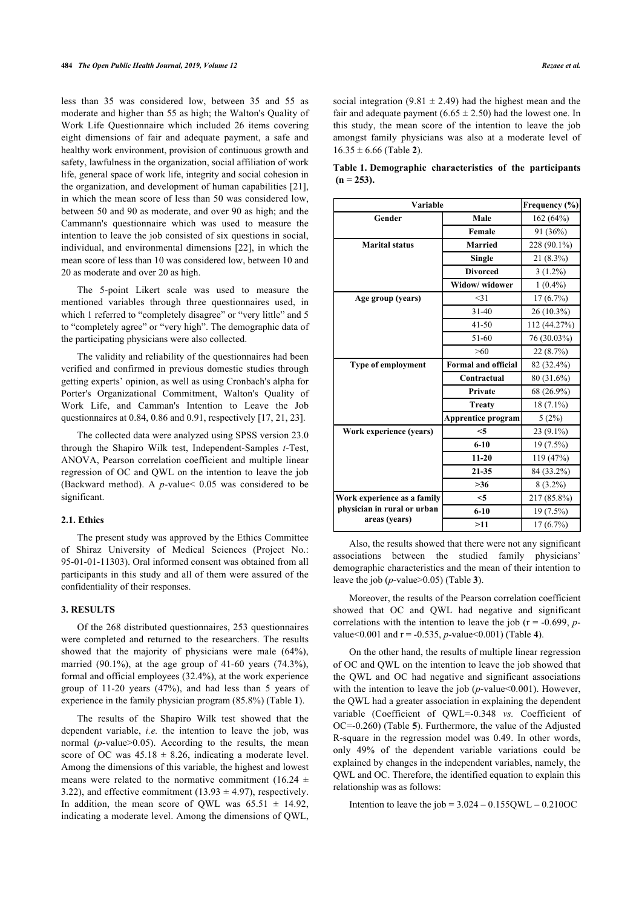<span id="page-2-0"></span>less than 35 was considered low, between 35 and 55 as moderate and higher than 55 as high; the Walton's Quality of Work Life Questionnaire which included 26 items covering eight dimensions of fair and adequate payment, a safe and healthy work environment, provision of continuous growth and safety, lawfulness in the organization, social affiliation of work life, general space of work life, integrity and social cohesion in the organization, and development of human capabilities [[21\]](#page-5-15), in which the mean score of less than 50 was considered low, between 50 and 90 as moderate, and over 90 as high; and the Cammann's questionnaire which was used to measure the intention to leave the job consisted of six questions in social, individual, and environmental dimensions [[22](#page-5-16)], in which the mean score of less than 10 was considered low, between 10 and 20 as moderate and over 20 as high.

The 5-point Likert scale was used to measure the mentioned variables through three questionnaires used, in which 1 referred to "completely disagree" or "very little" and 5 to "completely agree" or "very high". The demographic data of the participating physicians were also collected.

The validity and reliability of the questionnaires had been verified and confirmed in previous domestic studies through getting experts' opinion, as well as using Cronbach's alpha for Porter's Organizational Commitment, Walton's Quality of Work Life, and Camman's Intention to Leave the Job questionnaires at 0.84, 0.86 and 0.91, respectively [\[17](#page-5-12), [21,](#page-5-15) [23](#page-5-17)].

The collected data were analyzed using SPSS version 23.0 through the Shapiro Wilk test, Independent-Samples *t*-Test, ANOVA, Pearson correlation coefficient and multiple linear regression of OC and QWL on the intention to leave the job (Backward method). A *p*-value< 0.05 was considered to be significant.

#### **2.1. Ethics**

The present study was approved by the Ethics Committee of Shiraz University of Medical Sciences (Project No.: 95-01-01-11303). Oral informed consent was obtained from all participants in this study and all of them were assured of the confidentiality of their responses.

# **3. RESULTS**

Of the 268 distributed questionnaires, 253 questionnaires were completed and returned to the researchers. The results showed that the majority of physicians were male (64%), married (90.1%), at the age group of 41-60 years (74.3%), formal and official employees (32.4%), at the work experience group of 11-20 years (47%), and had less than 5 years of experience in the family physician program (85.8%) (Table **[1](#page-2-0)**).

The results of the Shapiro Wilk test showed that the dependent variable, *i.e.* the intention to leave the job, was normal (*p*-value>0.05). According to the results, the mean score of OC was  $45.18 \pm 8.26$ , indicating a moderate level. Among the dimensions of this variable, the highest and lowest means were related to the normative commitment (16.24  $\pm$ 3.22), and effective commitment (13.93  $\pm$  4.97), respectively. In addition, the mean score of QWL was  $65.51 \pm 14.92$ , indicating a moderate level. Among the dimensions of QWL,

social integration (9.81  $\pm$  2.49) had the highest mean and the fair and adequate payment (6.65  $\pm$  2.50) had the lowest one. In this study, the mean score of the intention to leave the job amongst family physicians was also at a moderate level of  $16.35 \pm 6.66$  (Table [2](#page-3-0)).

| Table 1. Demographic characteristics of the participants |  |  |
|----------------------------------------------------------|--|--|
| $(n = 253)$ .                                            |  |  |

| Variable                                                | Frequency (%)             |              |
|---------------------------------------------------------|---------------------------|--------------|
| Gender                                                  | Male                      |              |
|                                                         | Female                    | 91 (36%)     |
| <b>Marital status</b>                                   | <b>Married</b>            | 228 (90.1%)  |
|                                                         | <b>Single</b>             | $21(8.3\%)$  |
|                                                         | <b>Divorced</b>           | $3(1.2\%)$   |
|                                                         | Widow/widower             | $1(0.4\%)$   |
| Age group (years)                                       | $<$ 31                    | $17(6.7\%)$  |
|                                                         | $31 - 40$                 | $26(10.3\%)$ |
|                                                         | $41 - 50$                 | 112 (44.27%) |
|                                                         | $51 - 60$                 | 76 (30.03%)  |
|                                                         | >60                       | 22(8.7%)     |
| <b>Type of employment</b><br><b>Formal and official</b> |                           | 82 (32.4%)   |
|                                                         | Contractual               | 80 (31.6%)   |
|                                                         | Private                   | 68 (26.9%)   |
|                                                         | <b>Treaty</b>             | $18(7.1\%)$  |
|                                                         | <b>Apprentice program</b> | 5(2%)        |
| Work experience (years)                                 | $<$ 5                     | $23(9.1\%)$  |
|                                                         | $6 - 10$                  | $19(7.5\%)$  |
|                                                         | $11 - 20$                 | 119 (47%)    |
|                                                         | $21 - 35$                 | 84 (33.2%)   |
|                                                         | >36                       | $8(3.2\%)$   |
| Work experience as a family                             | $<$ 5                     | 217 (85.8%)  |
| physician in rural or urban<br>areas (years)            | $6 - 10$                  | 19 (7.5%)    |
|                                                         | >11                       | 17(6.7%)     |

Also, the results showed that there were not any significant associations between the studied family physicians' demographic characteristics and the mean of their intention to leave the job (*p*-value>0.05) (Table **[3](#page-3-1)**).

Moreover, the results of the Pearson correlation coefficient showed that OC and QWL had negative and significant correlations with the intention to leave the job ( $r = -0.699$ , *p*value< $0.001$  and  $r = -0.535$ , *p*-value $0.001$  (Table [4](#page-3-2)).

On the other hand, the results of multiple linear regression of OC and QWL on the intention to leave the job showed that the QWL and OC had negative and significant associations with the intention to leave the job (*p*-value<0.001). However, the QWL had a greater association in explaining the dependent variable (Coefficient of QWL=-0.348 *vs.* Coefficient of OC=-0.260) (Table **[5](#page-3-3)**). Furthermore, the value of the Adjusted R-square in the regression model was 0.49. In other words, only 49% of the dependent variable variations could be explained by changes in the independent variables, namely, the QWL and OC. Therefore, the identified equation to explain this relationship was as follows:

Intention to leave the job =  $3.024 - 0.155QWL - 0.210OC$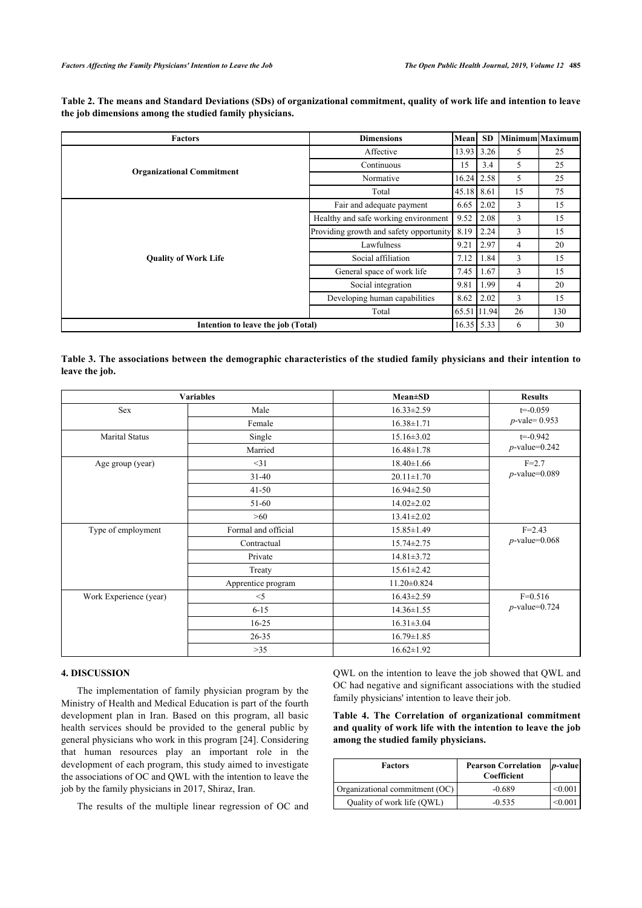<span id="page-3-0"></span>

| Table 2. The means and Standard Deviations (SDs) of organizational commitment, quality of work life and intention to leave |  |  |
|----------------------------------------------------------------------------------------------------------------------------|--|--|
| the job dimensions among the studied family physicians.                                                                    |  |  |

| <b>Factors</b>                     | <b>Dimensions</b><br>Mean               |             | <b>SD</b>     |    | <b>Minimum</b> Maximum |
|------------------------------------|-----------------------------------------|-------------|---------------|----|------------------------|
|                                    | Affective                               |             | 3.26          | 5  | 25                     |
| <b>Organizational Commitment</b>   | Continuous                              | 15          | 3.4           | 5  | 25                     |
|                                    | Normative                               |             | 16.24<br>2.58 | 5  | 25                     |
|                                    | Total                                   |             | 8.61<br>45.18 | 15 | 75                     |
|                                    | Fair and adequate payment               |             | 2.02          | 3  | 15                     |
| <b>Quality of Work Life</b>        | Healthy and safe working environment    | 9.52        | 2.08          | 3  | 15                     |
|                                    | Providing growth and safety opportunity |             | 2.24          | 3  | 15                     |
|                                    | Lawfulness                              |             | 2.97          | 4  | 20                     |
|                                    | Social affiliation                      | 7.12        | 1.84          | 3  | 15                     |
|                                    | General space of work life              | 7.45        | 1.67          | 3  | 15                     |
|                                    | Social integration                      | 9.81        | 1.99          | 4  | 20                     |
|                                    | Developing human capabilities           | 8.62        | 2.02          | 3  | 15                     |
|                                    | Total                                   | 65.51 11.94 |               | 26 | 130                    |
| Intention to leave the job (Total) |                                         |             | 16.35 5.33    | 6  | 30                     |

<span id="page-3-1"></span>**Table 3. The associations between the demographic characteristics of the studied family physicians and their intention to leave the job.**

| <b>Variables</b>       |                     | $Mean \pm SD$     | <b>Results</b>   |
|------------------------|---------------------|-------------------|------------------|
| Sex                    | Male                | $16.33 \pm 2.59$  | $t = -0.059$     |
|                        | Female              | $16.38 \pm 1.71$  | $p$ -vale= 0.953 |
| <b>Marital Status</b>  | Single              | $15.16 \pm 3.02$  | $t = -0.942$     |
|                        | Married             | $16.48 \pm 1.78$  | $p$ -value=0.242 |
| Age group (year)       | $<$ 31              | $18.40 \pm 1.66$  | $F = 2.7$        |
|                        | $31-40$             | $20.11 \pm 1.70$  | $p$ -value=0.089 |
|                        | $41 - 50$           | $16.94 \pm 2.50$  |                  |
|                        | 51-60               | $14.02 \pm 2.02$  |                  |
|                        | >60                 | $13.41 \pm 2.02$  |                  |
| Type of employment     | Formal and official | $15.85 \pm 1.49$  | $F = 2.43$       |
|                        | Contractual         | $15.74 \pm 2.75$  | $p$ -value=0.068 |
|                        | Private             | $14.81 \pm 3.72$  |                  |
|                        | Treaty              | $15.61 \pm 2.42$  |                  |
|                        | Apprentice program  | $11.20 \pm 0.824$ |                  |
| Work Experience (year) | $<$ 5               | $16.43 \pm 2.59$  | $F=0.516$        |
|                        | $6 - 15$            | $14.36 \pm 1.55$  | $p$ -value=0.724 |
|                        | $16 - 25$           | $16.31 \pm 3.04$  |                  |
|                        | $26 - 35$           | $16.79 \pm 1.85$  |                  |
|                        | $>35$               | $16.62 \pm 1.92$  |                  |

# **4. DISCUSSION**

<span id="page-3-2"></span>The implementation of family physician program by the Ministry of Health and Medical Education is part of the fourth development plan in Iran. Based on this program, all basic health services should be provided to the general public by general physicians who work in this program [[24\]](#page-5-18). Considering that human resources play an important role in the development of each program, this study aimed to investigate the associations of OC and QWL with the intention to leave the job by the family physicians in 2017, Shiraz, Iran.

<span id="page-3-3"></span>The results of the multiple linear regression of OC and

QWL on the intention to leave the job showed that QWL and OC had negative and significant associations with the studied family physicians' intention to leave their job.

**Table 4. The Correlation of organizational commitment and quality of work life with the intention to leave the job among the studied family physicians.**

| <b>Factors</b>                 | <b>Pearson Correlation</b><br>Coefficient | <i>p</i> -value |
|--------------------------------|-------------------------------------------|-----------------|
| Organizational commitment (OC) | $-0.689$                                  | < 0.001         |
| Quality of work life (QWL)     | $-0.535$                                  | < 0.001         |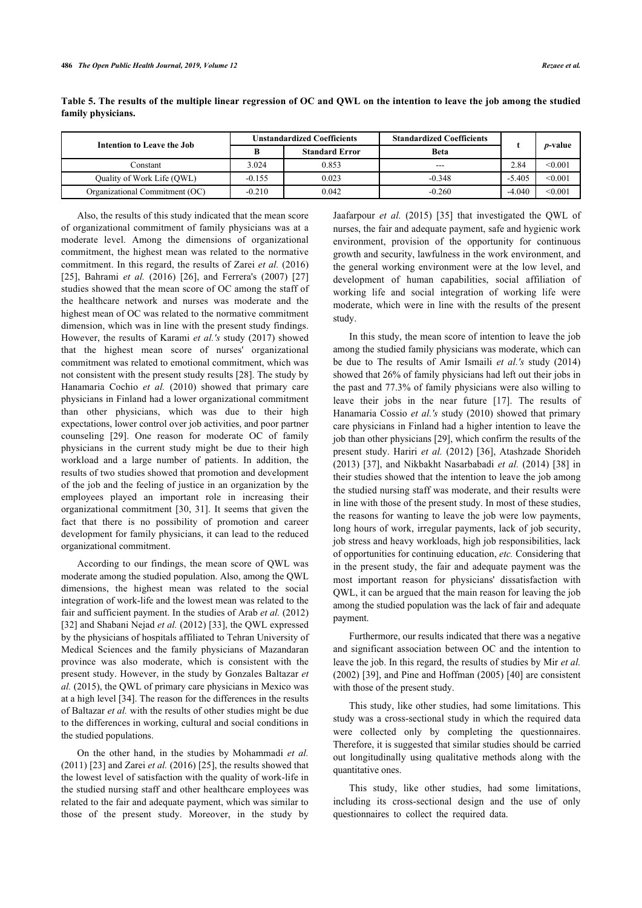| Intention to Leave the Job     | <b>Unstandardized Coefficients</b> |                       | <b>Standardized Coefficients</b> |          |                 |
|--------------------------------|------------------------------------|-----------------------|----------------------------------|----------|-----------------|
|                                | B                                  | <b>Standard Error</b> | <b>Beta</b>                      |          | <i>p</i> -value |
| Constant                       | 3.024                              | 0.853                 | $---$                            | 2.84     | < 0.001         |
| Quality of Work Life (QWL)     | $-0.155$                           | 0.023                 | $-0.348$                         | $-5.405$ | < 0.001         |
| Organizational Commitment (OC) | $-0.210$                           | 0.042                 | $-0.260$                         | $-4.040$ | < 0.001         |

**Table 5. The results of the multiple linear regression of OC and QWL on the intention to leave the job among the studied family physicians.**

Also, the results of this study indicated that the mean score of organizational commitment of family physicians was at a moderate level. Among the dimensions of organizational commitment, the highest mean was related to the normative commitment. In this regard, the results of Zarei *et al.* (2016) [[25\]](#page-5-19),Bahrami *et al.* (2016) [\[26](#page-5-20)], and Ferrera's (2007) [[27](#page-6-0)] studies showed that the mean score of OC among the staff of the healthcare network and nurses was moderate and the highest mean of OC was related to the normative commitment dimension, which was in line with the present study findings. However, the results of Karami *et al.'s* study (2017) showed that the highest mean score of nurses' organizational commitment was related to emotional commitment, which was not consistent with the present study results [[28\]](#page-6-1). The study by Hanamaria Cochio *et al.* (2010) showed that primary care physicians in Finland had a lower organizational commitment than other physicians, which was due to their high expectations, lower control over job activities, and poor partner counseling [\[29](#page-6-2)]. One reason for moderate OC of family physicians in the current study might be due to their high workload and a large number of patients. In addition, the results of two studies showed that promotion and development of the job and the feeling of justice in an organization by the employees played an important role in increasing their organizational commitment [[30](#page-6-3), [31](#page-6-4)]. It seems that given the fact that there is no possibility of promotion and career development for family physicians, it can lead to the reduced organizational commitment.

According to our findings, the mean score of QWL was moderate among the studied population. Also, among the QWL dimensions, the highest mean was related to the social integration of work-life and the lowest mean was related to the fair and sufficient payment. In the studies of Arab *et al.* (2012) [[32\]](#page-6-5) and Shabani Nejad *et al.* (2012) [[33\]](#page-6-6), the QWL expressed by the physicians of hospitals affiliated to Tehran University of Medical Sciences and the family physicians of Mazandaran province was also moderate, which is consistent with the present study. However, in the study by Gonzales Baltazar *et al.* (2015), the QWL of primary care physicians in Mexico was at a high level [[34\]](#page-6-7). The reason for the differences in the results of Baltazar *et al.* with the results of other studies might be due to the differences in working, cultural and social conditions in the studied populations.

On the other hand, in the studies by Mohammadi *et al.* (2011) [\[23](#page-5-17)] and Zarei *et al.* (2016) [[25](#page-5-19)], the results showed that the lowest level of satisfaction with the quality of work-life in the studied nursing staff and other healthcare employees was related to the fair and adequate payment, which was similar to those of the present study. Moreover, in the study by Jaafarpour *et al.* (2015)[[35](#page-6-1)] that investigated the QWL of nurses, the fair and adequate payment, safe and hygienic work environment, provision of the opportunity for continuous growth and security, lawfulness in the work environment, and the general working environment were at the low level, and development of human capabilities, social affiliation of working life and social integration of working life were moderate, which were in line with the results of the present study.

In this study, the mean score of intention to leave the job among the studied family physicians was moderate, which can be due to The results of Amir Ismaili *et al.'s* study (2014) showed that 26% of family physicians had left out their jobs in the past and 77.3% of family physicians were also willing to leave their jobs in the near future[[17\]](#page-5-12). The results of Hanamaria Cossio *et al.'s* study (2010) showed that primary care physicians in Finland had a higher intention to leave the job than other physicians [[29\]](#page-6-2), which confirm the results of the present study. Hariri *et al.* (2012) [\[36](#page-6-8)], Atashzade Shorideh (2013) [[37](#page-6-9)], and Nikbakht Nasarbabadi *et al.* (2014) [[38](#page-6-10)] in their studies showed that the intention to leave the job among the studied nursing staff was moderate, and their results were in line with those of the present study. In most of these studies, the reasons for wanting to leave the job were low payments, long hours of work, irregular payments, lack of job security, job stress and heavy workloads, high job responsibilities, lack of opportunities for continuing education, *etc.* Considering that in the present study, the fair and adequate payment was the most important reason for physicians' dissatisfaction with QWL, it can be argued that the main reason for leaving the job among the studied population was the lack of fair and adequate payment.

Furthermore, our results indicated that there was a negative and significant association between OC and the intention to leave the job. In this regard, the results of studies by Mir *et al.* (2002) [\[39](#page-6-11)], and Pine and Hoffman (2005) [[40](#page-6-12)] are consistent with those of the present study.

This study, like other studies, had some limitations. This study was a cross-sectional study in which the required data were collected only by completing the questionnaires. Therefore, it is suggested that similar studies should be carried out longitudinally using qualitative methods along with the quantitative ones.

This study, like other studies, had some limitations, including its cross-sectional design and the use of only questionnaires to collect the required data.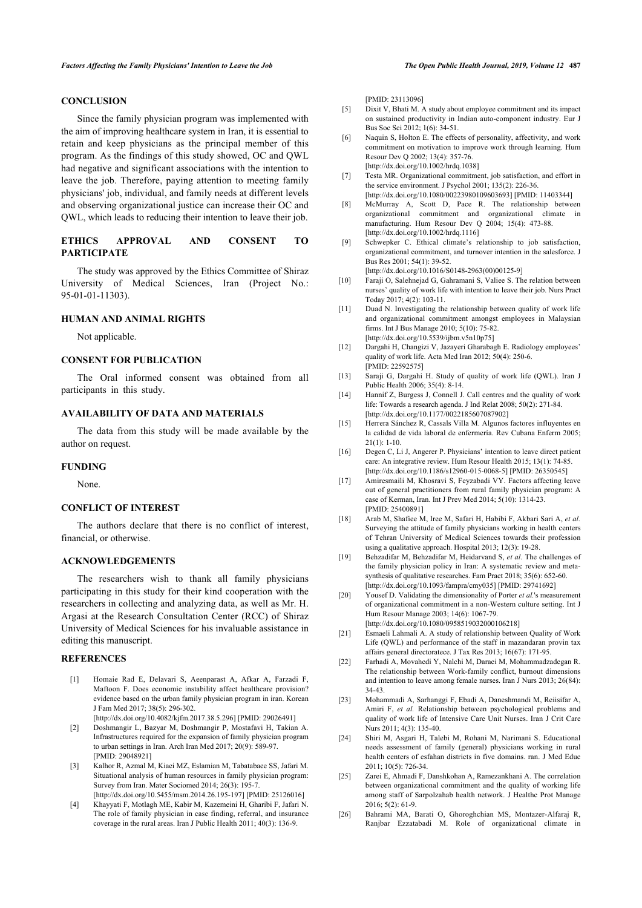# <span id="page-5-4"></span>**CONCLUSION**

<span id="page-5-5"></span>Since the family physician program was implemented with the aim of improving healthcare system in Iran, it is essential to retain and keep physicians as the principal member of this program. As the findings of this study showed, OC and QWL had negative and significant associations with the intention to leave the job. Therefore, paying attention to meeting family physicians' job, individual, and family needs at different levels and observing organizational justice can increase their OC and QWL, which leads to reducing their intention to leave their job.

# <span id="page-5-6"></span>**ETHICS APPROVAL AND CONSENT TO PARTICIPATE**

<span id="page-5-7"></span>The study was approved by the Ethics Committee of Shiraz University of Medical Sciences, Iran (Project No.: 95-01-01-11303).

# <span id="page-5-8"></span>**HUMAN AND ANIMAL RIGHTS**

Not applicable.

### **CONSENT FOR PUBLICATION**

<span id="page-5-9"></span>The Oral informed consent was obtained from all participants in this study.

# **AVAILABILITY OF DATA AND MATERIALS**

<span id="page-5-10"></span>The data from this study will be made available by the author on request.

#### <span id="page-5-12"></span><span id="page-5-11"></span>**FUNDING**

None.

## **CONFLICT OF INTEREST**

The authors declare that there is no conflict of interest, financial, or otherwise.

# <span id="page-5-13"></span>**ACKNOWLEDGEMENTS**

<span id="page-5-14"></span>The researchers wish to thank all family physicians participating in this study for their kind cooperation with the researchers in collecting and analyzing data, as well as Mr. H. Argasi at the Research Consultation Center (RCC) of Shiraz University of Medical Sciences for his invaluable assistance in editing this manuscript.

#### <span id="page-5-16"></span><span id="page-5-15"></span><span id="page-5-0"></span>**REFERENCES**

- <span id="page-5-17"></span>[1] Homaie Rad E, Delavari S, Aeenparast A, Afkar A, Farzadi F, Maftoon F. Does economic instability affect healthcare provision? evidence based on the urban family physician program in iran. Korean J Fam Med 2017; 38(5): 296-302. [\[http://dx.doi.org/10.4082/kjfm.2017.38.5.296](http://dx.doi.org/10.4082/kjfm.2017.38.5.296)] [PMID: [29026491](http://www.ncbi.nlm.nih.gov/pubmed/29026491)]
- <span id="page-5-18"></span><span id="page-5-1"></span>[2] Doshmangir L, Bazyar M, Doshmangir P, Mostafavi H, Takian A. Infrastructures required for the expansion of family physician program to urban settings in Iran. Arch Iran Med 2017; 20(9): 589-97. [PMID: [29048921](http://www.ncbi.nlm.nih.gov/pubmed/29048921)]
- <span id="page-5-19"></span><span id="page-5-2"></span>[3] Kalhor R, Azmal M, Kiaei MZ, Eslamian M, Tabatabaee SS, Jafari M. Situational analysis of human resources in family physician program: Survey from Iran. Mater Sociomed 2014; 26(3): 195-7. [\[http://dx.doi.org/10.5455/msm.2014.26.195-197](http://dx.doi.org/10.5455/msm.2014.26.195-197)] [PMID: [25126016\]](http://www.ncbi.nlm.nih.gov/pubmed/25126016)
- <span id="page-5-20"></span><span id="page-5-3"></span>[4] Khayyati F, Motlagh ME, Kabir M, Kazemeini H, Gharibi F, Jafari N. The role of family physician in case finding, referral, and insurance coverage in the rural areas. Iran J Public Health 2011; 40(3): 136-9.

[PMID: [23113096\]](http://www.ncbi.nlm.nih.gov/pubmed/23113096)

- [5] Dixit V, Bhati M. A study about employee commitment and its impact on sustained productivity in Indian auto-component industry. Eur J Bus Soc Sci 2012; 1(6): 34-51.
- [6] Naquin S, Holton E. The effects of personality, affectivity, and work commitment on motivation to improve work through learning. Hum Resour Dev Q 2002; 13(4): 357-76. [\[http://dx.doi.org/10.1002/hrdq.1038](http://dx.doi.org/10.1002/hrdq.1038)]
- [7] Testa MR. Organizational commitment, job satisfaction, and effort in the service environment. J Psychol 2001; 135(2): 226-36. [\[http://dx.doi.org/10.1080/00223980109603693\]](http://dx.doi.org/10.1080/00223980109603693) [PMID: [11403344\]](http://www.ncbi.nlm.nih.gov/pubmed/11403344)
- [8] McMurray A, Scott D, Pace R. The relationship between organizational commitment and organizational climate in manufacturing. Hum Resour Dev Q 2004; 15(4): 473-88. [\[http://dx.doi.org/10.1002/hrdq.1116](http://dx.doi.org/10.1002/hrdq.1116)]
- [9] Schwepker C. Ethical climate's relationship to job satisfaction, organizational commitment, and turnover intention in the salesforce. J Bus Res 2001; 54(1): 39-52.

[\[http://dx.doi.org/10.1016/S0148-2963\(00\)00125-9\]](http://dx.doi.org/10.1016/S0148-2963(00)00125-9)

- [10] Faraji O, Salehnejad G, Gahramani S, Valiee S. The relation between nurses' quality of work life with intention to leave their job. Nurs Pract Today 2017; 4(2): 103-11.
- [11] Duad N. Investigating the relationship between quality of work life and organizational commitment amongst employees in Malaysian firms. Int J Bus Manage 2010; 5(10): 75-82. [\[http://dx.doi.org/10.5539/ijbm.v5n10p75](http://dx.doi.org/10.5539/ijbm.v5n10p75)]
- [12] Dargahi H, Changizi V, Jazayeri Gharabagh E. Radiology employees' quality of work life. Acta Med Iran 2012; 50(4): 250-6. [PMID: [22592575\]](http://www.ncbi.nlm.nih.gov/pubmed/22592575)
- [13] Saraji G, Dargahi H. Study of quality of work life (QWL). Iran J Public Health 2006; 35(4): 8-14.
- [14] Hannif Z, Burgess J, Connell J. Call centres and the quality of work life: Towards a research agenda. J Ind Relat 2008; 50(2): 271-84. [\[http://dx.doi.org/10.1177/0022185607087902](http://dx.doi.org/10.1177/0022185607087902)]
- [15] Herrera Sánchez R, Cassals Villa M. Algunos factores influyentes en la calidad de vida laboral de enfermería. Rev Cubana Enferm 2005;  $21(1): 1-10$
- [16] Degen C, Li J, Angerer P. Physicians' intention to leave direct patient care: An integrative review. Hum Resour Health 2015; 13(1): 74-85. [\[http://dx.doi.org/10.1186/s12960-015-0068-5\]](http://dx.doi.org/10.1186/s12960-015-0068-5) [PMID: [26350545](http://www.ncbi.nlm.nih.gov/pubmed/26350545)]
- [17] Amiresmaili M, Khosravi S, Feyzabadi VY. Factors affecting leave out of general practitioners from rural family physician program: A case of Kerman, Iran. Int J Prev Med 2014; 5(10): 1314-23. [PMID: [25400891\]](http://www.ncbi.nlm.nih.gov/pubmed/25400891)
- [18] Arab M, Shafiee M, Iree M, Safari H, Habibi F, Akbari Sari A, *et al.* Surveying the attitude of family physicians working in health centers of Tehran University of Medical Sciences towards their profession using a qualitative approach. Hospital 2013; 12(3): 19-28.
- [19] Behzadifar M, Behzadifar M, Heidarvand S, *et al.* The challenges of the family physician policy in Iran: A systematic review and metasynthesis of qualitative researches. Fam Pract 2018: 35(6): 652-60. [\[http://dx.doi.org/10.1093/fampra/cmy035\]](http://dx.doi.org/10.1093/fampra/cmy035) [PMID: [29741692](http://www.ncbi.nlm.nih.gov/pubmed/29741692)]
- [20] Yousef D. Validating the dimensionality of Porter *et al.*'s measurement of organizational commitment in a non-Western culture setting. Int J Hum Resour Manage 2003; 14(6): 1067-79. [\[http://dx.doi.org/10.1080/0958519032000106218\]](http://dx.doi.org/10.1080/0958519032000106218)
- [21] Esmaeli Lahmali A. A study of relationship between Quality of Work
- Life (QWL) and performance of the staff in mazandaran provin tax affairs general directoratece. J Tax Res 2013; 16(67): 171-95.
- [22] Farhadi A, Movahedi Y, Nalchi M, Daraei M, Mohammadzadegan R. The relationship between Work-family conflict, burnout dimensions and intention to leave among female nurses. Iran J Nurs 2013; 26(84): 34-43.
- [23] Mohammadi A, Sarhanggi F, Ebadi A, Daneshmandi M, Reiisifar A, Amiri F, *et al.* Relationship between psychological problems and quality of work life of Intensive Care Unit Nurses. Iran J Crit Care Nurs 2011; 4(3): 135-40.
- [24] Shiri M, Asgari H, Talebi M, Rohani M, Narimani S. Educational needs assessment of family (general) physicians working in rural health centers of esfahan districts in five domains. ran. J Med Educ 2011; 10(5): 726-34.
- [25] Zarei E, Ahmadi F, Danshkohan A, Ramezankhani A. The correlation between organizational commitment and the quality of working life among staff of Sarpolzahab health network. J Healthc Prot Manage 2016; 5(2): 61-9.
- [26] Bahrami MA, Barati O, Ghoroghchian MS, Montazer-Alfaraj R, Ranjbar Ezzatabadi M. Role of organizational climate in